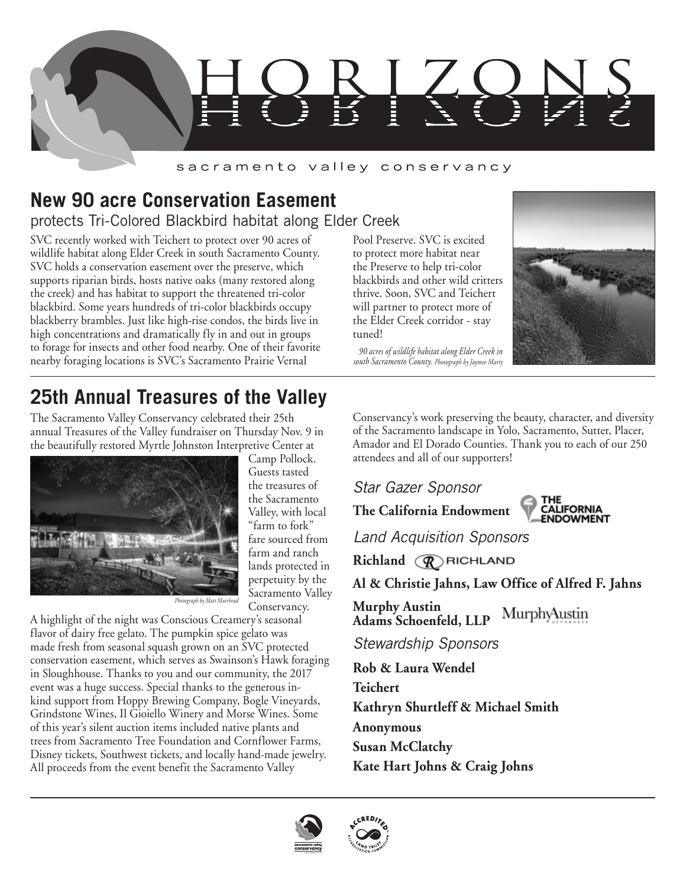

### sacramento valley conservancy

## **New 90 acre Conservation Easement** protects Tri-Colored Blackbird habitat along Elder Creek

SVC recently worked with Teichert to protect over 90 acres of wildlife habitat along Elder Creek in south Sacramento County. SVC holds a conservation easement over the preserve, which supports riparian birds, hosts native oaks (many restored along the creek) and has habitat to support the threatened tri-color blackbird. Some years hundreds of tri-color blackbirds occupy blackberry brambles. Just like high-rise condos, the birds live in high concentrations and dramatically fly in and out in groups to forage for insects and other food nearby. One of their favorite nearby foraging locations is SVC's Sacramento Prairie Vernal

Pool Preserve. SVC is excited to protect more habitat near the Preserve to help tri-color blackbirds and other wild critters thrive. Soon, SVC and Teichert will partner to protect more of the Elder Creek corridor - stay tuned!

*90 acres of wildlife habitat along Elder Creek in south Sacramento County. Photograph by Jaymee Marty*



# **25th Annual Treasures of the Valley**

The Sacramento Valley Conservancy celebrated their 25th annual Treasures of the Valley fundraiser on Thursday Nov. 9 in the beautifully restored Myrtle Johnston Interpretive Center at



Camp Pollock. Guests tasted the treasures of the Sacramento Valley, with local "farm to fork" fare sourced from farm and ranch lands protected in perpetuity by the Sacramento Valley Conservancy.

*Photograph by Matt Muirhead*

A highlight of the night was Conscious Creamery's seasonal flavor of dairy free gelato. The pumpkin spice gelato was made fresh from seasonal squash grown on an SVC protected conservation easement, which serves as Swainson's Hawk foraging in Sloughhouse. Thanks to you and our community, the 2017 event was a huge success. Special thanks to the generous inkind support from Hoppy Brewing Company, Bogle Vineyards, Grindstone Wines, Il Gioiello Winery and Morse Wines. Some of this year's silent auction items included native plants and trees from Sacramento Tree Foundation and Cornflower Farms, Disney tickets, Southwest tickets, and locally hand-made jewelry. All proceeds from the event benefit the Sacramento Valley

Conservancy's work preserving the beauty, character, and diversity of the Sacramento landscape in Yolo, Sacramento, Sutter, Placer, Amador and El Dorado Counties. Thank you to each of our 250 attendees and all of our supporters!

*Star Gazer Sponsor*

**The California Endowment**



*Land Acquisition Sponsors*

**Richland** *R* **RICHLAND** 

**Al & Christie Jahns, Law Office of Alfred F. Jahns**

**Murphy Austin Adams Schoenfeld, LLP**

*Stewardship Sponsors*

**Rob & Laura Wendel Teichert Kathryn Shurtleff & Michael Smith Anonymous Susan McClatchy Kate Hart Johns & Craig Johns**



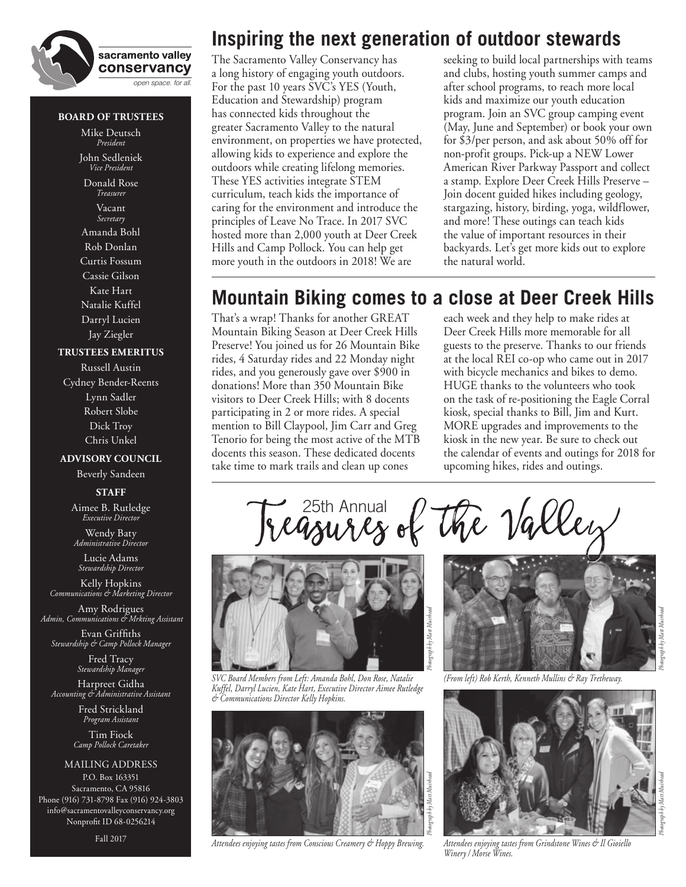

#### **BOARD OF TRUSTEES**

Mike Deutsch *President* John Sedleniek

*Vice President* Donald Rose *Treasurer* Vacant *Secretary*

Amanda Bohl Rob Donlan Curtis Fossum Cassie Gilson Kate Hart Natalie Kuffel Darryl Lucien Jay Ziegler

#### **TRUSTEES EMERITUS**

Russell Austin Cydney Bender-Reents Lynn Sadler Robert Slobe Dick Troy Chris Unkel

#### **ADVISORY COUNCIL**

Beverly Sandeen

**STAFF**

Aimee B. Rutledge *Executive Director*

Wendy Baty *Administrative Director*

Lucie Adams *Stewardship Director*

Kelly Hopkins *Communications & Marketing Director*

Amy Rodrigues *Admin, Communications & Mrkting Assistant*

Evan Griffiths *Stewardship & Camp Pollock Manager*

> Fred Tracy *Stewardship Manager*

Harpreet Gidha *Accounting & Administrative Assistant*

> Fred Strickland *Program Assistant*

Tim Fiock *Camp Pollock Caretaker*

MAILING ADDRESS P.O. Box 163351 Sacramento, CA 95816 Phone (916) 731-8798 Fax (916) 924-3803 info@sacramentovalleyconservancy.org Nonprofit ID 68-0256214

Fall 2017

## **Inspiring the next generation of outdoor stewards**

The Sacramento Valley Conservancy has a long history of engaging youth outdoors. For the past 10 years SVC's YES (Youth, Education and Stewardship) program has connected kids throughout the greater Sacramento Valley to the natural environment, on properties we have protected, allowing kids to experience and explore the outdoors while creating lifelong memories. These YES activities integrate STEM curriculum, teach kids the importance of caring for the environment and introduce the principles of Leave No Trace. In 2017 SVC hosted more than 2,000 youth at Deer Creek Hills and Camp Pollock. You can help get more youth in the outdoors in 2018! We are

seeking to build local partnerships with teams and clubs, hosting youth summer camps and after school programs, to reach more local kids and maximize our youth education program. Join an SVC group camping event (May, June and September) or book your own for \$3/per person, and ask about 50% off for non-profit groups. Pick-up a NEW Lower American River Parkway Passport and collect a stamp. Explore Deer Creek Hills Preserve – Join docent guided hikes including geology, stargazing, history, birding, yoga, wildflower, and more! These outings can teach kids the value of important resources in their backyards. Let's get more kids out to explore the natural world.

## **Mountain Biking comes to a close at Deer Creek Hills**

That's a wrap! Thanks for another GREAT Mountain Biking Season at Deer Creek Hills Preserve! You joined us for 26 Mountain Bike rides, 4 Saturday rides and 22 Monday night rides, and you generously gave over \$900 in donations! More than 350 Mountain Bike visitors to Deer Creek Hills; with 8 docents participating in 2 or more rides. A special mention to Bill Claypool, Jim Carr and Greg Tenorio for being the most active of the MTB docents this season. These dedicated docents take time to mark trails and clean up cones

each week and they help to make rides at Deer Creek Hills more memorable for all guests to the preserve. Thanks to our friends at the local REI co-op who came out in 2017 with bicycle mechanics and bikes to demo. HUGE thanks to the volunteers who took on the task of re-positioning the Eagle Corral kiosk, special thanks to Bill, Jim and Kurt. MORE upgrades and improvements to the kiosk in the new year. Be sure to check out the calendar of events and outings for 2018 for upcoming hikes, rides and outings.



25th Annual<br>**USAU A RS e**l

*SVC Board Members from Left: Amanda Bohl, Don Rose, Natalie Kuffel, Darryl Lucien, Kate Hart, Executive Director Aimee Rutledge & Communications Director Kelly Hopkins.*



*Attendees enjoying tastes from Conscious Creamery & Hoppy Brewing.*



*(From left) Rob Kerth, Kenneth Mullins & Ray Tretheway.*

the Valley



*Attendees enjoying tastes from Grindstone Wines & Il Gioiello Winery / Morse Wines.*

*Photograph by Matt Muirhead*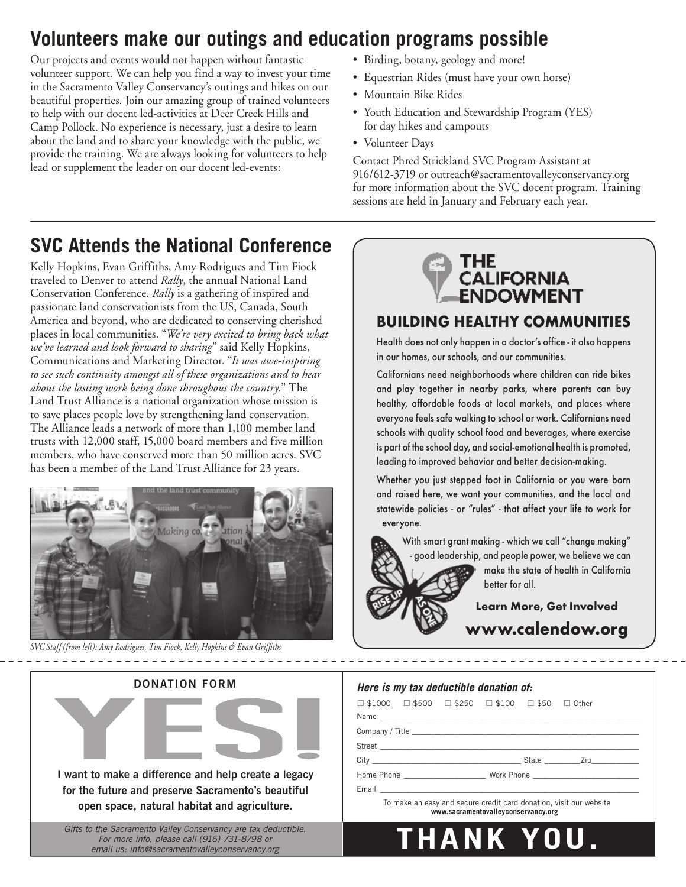# **Volunteers make our outings and education programs possible**

Our projects and events would not happen without fantastic volunteer support. We can help you find a way to invest your time in the Sacramento Valley Conservancy's outings and hikes on our beautiful properties. Join our amazing group of trained volunteers to help with our docent led-activities at Deer Creek Hills and Camp Pollock. No experience is necessary, just a desire to learn about the land and to share your knowledge with the public, we provide the training. We are always looking for volunteers to help lead or supplement the leader on our docent led-events:

- Birding, botany, geology and more!
- Equestrian Rides (must have your own horse)
- Mountain Bike Rides
- Youth Education and Stewardship Program (YES) for day hikes and campouts
- Volunteer Days

Contact Phred Strickland SVC Program Assistant at 916/612-3719 or outreach@sacramentovalleyconservancy.org for more information about the SVC docent program. Training sessions are held in January and February each year.

# **SVC Attends the National Conference**

Kelly Hopkins, Evan Griffiths, Amy Rodrigues and Tim Fiock traveled to Denver to attend *Rally*, the annual National Land Conservation Conference. *Rally* is a gathering of inspired and passionate land conservationists from the US, Canada, South America and beyond, who are dedicated to conserving cherished places in local communities. "*We're very excited to bring back what we've learned and look forward to sharing*" said Kelly Hopkins, Communications and Marketing Director. "*It was awe-inspiring to see such continuity amongst all of these organizations and to hear about the lasting work being done throughout the country.*" The Land Trust Alliance is a national organization whose mission is to save places people love by strengthening land conservation. The Alliance leads a network of more than 1,100 member land trusts with 12,000 staff, 15,000 board members and five million members, who have conserved more than 50 million acres. SVC has been a member of the Land Trust Alliance for 23 years.



*SVC Staff (from left): Amy Rodrigues, Tim Fiock, Kelly Hopkins & Evan Griffiths*



**I want to make a difference and help create a legacy for the future and preserve Sacramento's beautiful open space, natural habitat and agriculture.**

*Gifts to the Sacramento Valley Conservancy are tax deductible. For more info, please call (916) 731-8798 or email us: info@sacramentovalleyconservancy.org*



### **BUILDING HEALTHY COMMUNITIES**

Health does not only happen in a doctor's office - it also happens in our homes, our schools, and our communities.

Californians need neighborhoods where children can ride bikes and play together in nearby parks, where parents can buy healthy, affordable foods at local markets, and places where everyone feels safe walking to school or work. Californians need schools with quality school food and beverages, where exercise is part of the school day, and social-emotional health is promoted, leading to improved behavior and better decision-making.

Whether you just stepped foot in California or you were born and raised here, we want your communities, and the local and statewide policies - or "rules" - that affect your life to work for everyone.

With smart grant making - which we call "change making" good leadership, and people power, we believe we can

make the state of health in California better for all.

**Learn More, Get Involved www.calendow.org**

### *Here is my tax deductible donation of:*

| $\Box$ \$1000 $\Box$ \$500 $\Box$ \$250 $\Box$ \$100 $\Box$ \$50 $\Box$ Other |  |  |  |  |  |  |  |  |
|-------------------------------------------------------------------------------|--|--|--|--|--|--|--|--|
|                                                                               |  |  |  |  |  |  |  |  |
|                                                                               |  |  |  |  |  |  |  |  |
|                                                                               |  |  |  |  |  |  |  |  |
|                                                                               |  |  |  |  |  |  |  |  |
|                                                                               |  |  |  |  |  |  |  |  |
|                                                                               |  |  |  |  |  |  |  |  |
| To make an easy and secure credit card donation, visit our website            |  |  |  |  |  |  |  |  |

 To make an easy and secure credit card donation, visit our website  **www.sacramentovalleyconservancy.org**

**THANK YOU.**